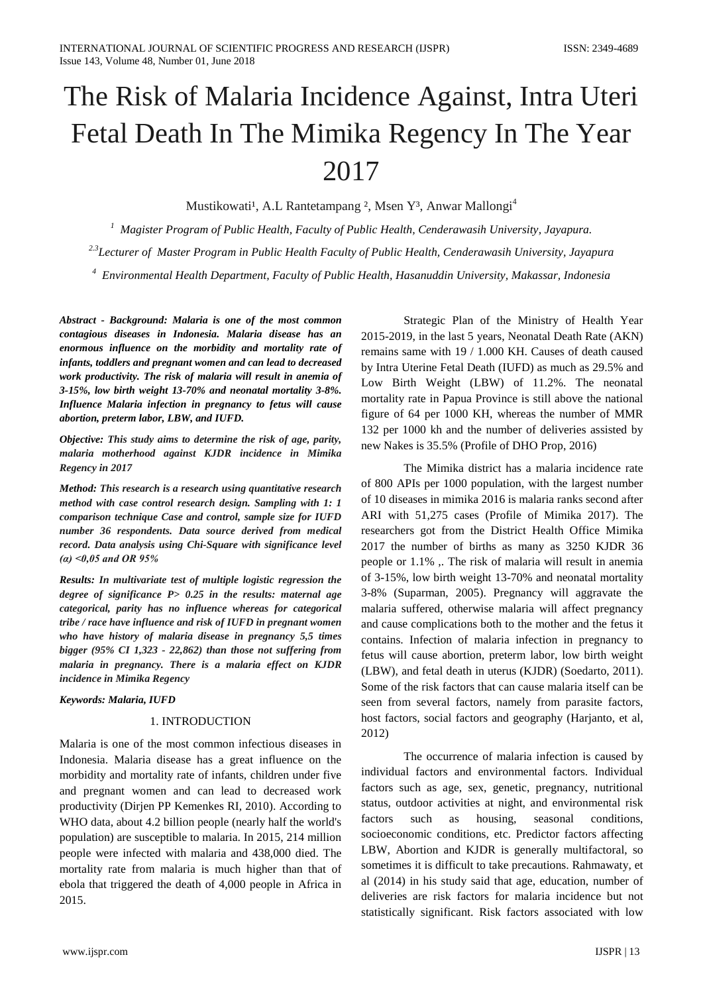# The Risk of Malaria Incidence Against, Intra Uteri Fetal Death In The Mimika Regency In The Year 2017

Mustikowati<sup>1</sup>, A.L Rantetampang <sup>2</sup>, Msen Y<sup>3</sup>, Anwar Mallongi<sup>4</sup>

*1 Magister Program of Public Health, Faculty of Public Health, Cenderawasih University, Jayapura.*

*2.3Lecturer of Master Program in Public Health Faculty of Public Health, Cenderawasih University, Jayapura*

*4 Environmental Health Department, Faculty of Public Health, Hasanuddin University, Makassar, Indonesia*

*Abstract - Background: Malaria is one of the most common contagious diseases in Indonesia. Malaria disease has an enormous influence on the morbidity and mortality rate of infants, toddlers and pregnant women and can lead to decreased work productivity. The risk of malaria will result in anemia of 3-15%, low birth weight 13-70% and neonatal mortality 3-8%. Influence Malaria infection in pregnancy to fetus will cause abortion, preterm labor, LBW, and IUFD.*

*Objective: This study aims to determine the risk of age, parity, malaria motherhood against KJDR incidence in Mimika Regency in 2017*

*Method: This research is a research using quantitative research method with case control research design. Sampling with 1: 1 comparison technique Case and control, sample size for IUFD number 36 respondents. Data source derived from medical record. Data analysis using Chi-Square with significance level (α) <0,05 and OR 95%*

*Results: In multivariate test of multiple logistic regression the degree of significance P> 0.25 in the results: maternal age categorical, parity has no influence whereas for categorical tribe / race have influence and risk of IUFD in pregnant women who have history of malaria disease in pregnancy 5,5 times bigger (95% CI 1,323 - 22,862) than those not suffering from malaria in pregnancy. There is a malaria effect on KJDR incidence in Mimika Regency*

#### *Keywords: Malaria, IUFD*

### 1. INTRODUCTION

Malaria is one of the most common infectious diseases in Indonesia. Malaria disease has a great influence on the morbidity and mortality rate of infants, children under five and pregnant women and can lead to decreased work productivity (Dirjen PP Kemenkes RI, 2010). According to WHO data, about 4.2 billion people (nearly half the world's population) are susceptible to malaria. In 2015, 214 million people were infected with malaria and 438,000 died. The mortality rate from malaria is much higher than that of ebola that triggered the death of 4,000 people in Africa in 2015.

Strategic Plan of the Ministry of Health Year 2015-2019, in the last 5 years, Neonatal Death Rate (AKN) remains same with 19 / 1.000 KH. Causes of death caused by Intra Uterine Fetal Death (IUFD) as much as 29.5% and Low Birth Weight (LBW) of 11.2%. The neonatal mortality rate in Papua Province is still above the national figure of 64 per 1000 KH, whereas the number of MMR 132 per 1000 kh and the number of deliveries assisted by new Nakes is 35.5% (Profile of DHO Prop, 2016)

The Mimika district has a malaria incidence rate of 800 APIs per 1000 population, with the largest number of 10 diseases in mimika 2016 is malaria ranks second after ARI with 51,275 cases (Profile of Mimika 2017). The researchers got from the District Health Office Mimika 2017 the number of births as many as 3250 KJDR 36 people or 1.1% ,. The risk of malaria will result in anemia of 3-15%, low birth weight 13-70% and neonatal mortality 3-8% (Suparman, 2005). Pregnancy will aggravate the malaria suffered, otherwise malaria will affect pregnancy and cause complications both to the mother and the fetus it contains. Infection of malaria infection in pregnancy to fetus will cause abortion, preterm labor, low birth weight (LBW), and fetal death in uterus (KJDR) (Soedarto, 2011). Some of the risk factors that can cause malaria itself can be seen from several factors, namely from parasite factors, host factors, social factors and geography (Harjanto, et al, 2012)

The occurrence of malaria infection is caused by individual factors and environmental factors. Individual factors such as age, sex, genetic, pregnancy, nutritional status, outdoor activities at night, and environmental risk factors such as housing, seasonal conditions, socioeconomic conditions, etc. Predictor factors affecting LBW, Abortion and KJDR is generally multifactoral, so sometimes it is difficult to take precautions. Rahmawaty, et al (2014) in his study said that age, education, number of deliveries are risk factors for malaria incidence but not statistically significant. Risk factors associated with low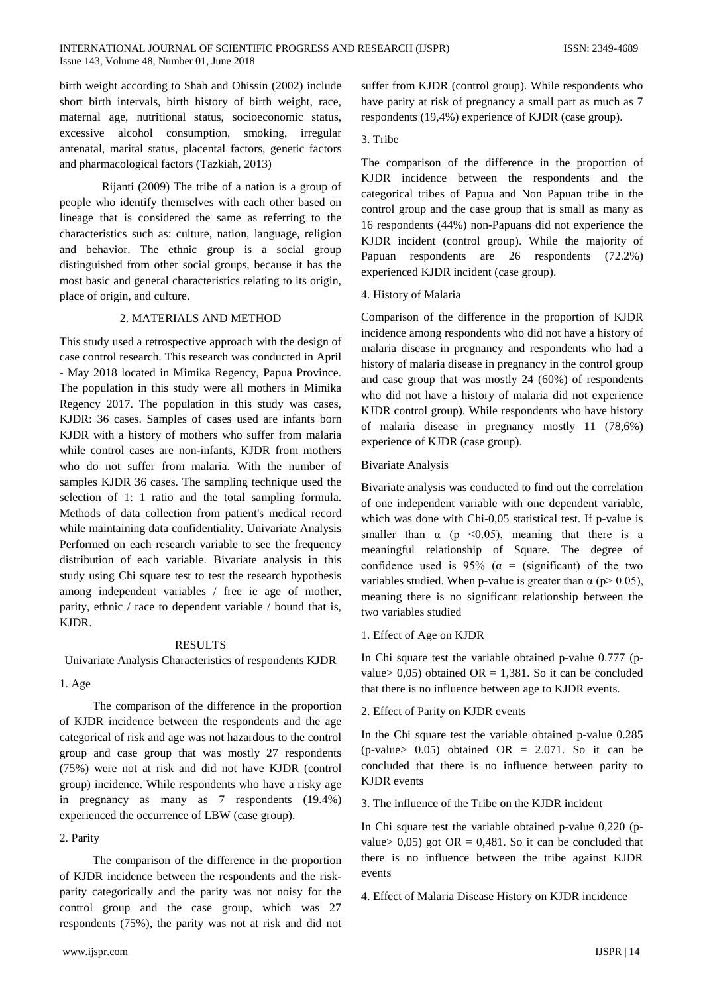birth weight according to Shah and Ohissin (2002) include short birth intervals, birth history of birth weight, race, maternal age, nutritional status, socioeconomic status, excessive alcohol consumption, smoking, irregular antenatal, marital status, placental factors, genetic factors and pharmacological factors (Tazkiah, 2013)

Rijanti (2009) The tribe of a nation is a group of people who identify themselves with each other based on lineage that is considered the same as referring to the characteristics such as: culture, nation, language, religion and behavior. The ethnic group is a social group distinguished from other social groups, because it has the most basic and general characteristics relating to its origin, place of origin, and culture.

## 2. MATERIALS AND METHOD

This study used a retrospective approach with the design of case control research. This research was conducted in April - May 2018 located in Mimika Regency, Papua Province. The population in this study were all mothers in Mimika Regency 2017. The population in this study was cases, KJDR: 36 cases. Samples of cases used are infants born KJDR with a history of mothers who suffer from malaria while control cases are non-infants, KJDR from mothers who do not suffer from malaria. With the number of samples KJDR 36 cases. The sampling technique used the selection of 1: 1 ratio and the total sampling formula. Methods of data collection from patient's medical record while maintaining data confidentiality. Univariate Analysis Performed on each research variable to see the frequency distribution of each variable. Bivariate analysis in this study using Chi square test to test the research hypothesis among independent variables / free ie age of mother, parity, ethnic / race to dependent variable / bound that is, KJDR.

# RESULTS

Univariate Analysis Characteristics of respondents KJDR

## 1. Age

The comparison of the difference in the proportion of KJDR incidence between the respondents and the age categorical of risk and age was not hazardous to the control group and case group that was mostly 27 respondents (75%) were not at risk and did not have KJDR (control group) incidence. While respondents who have a risky age in pregnancy as many as 7 respondents (19.4%) experienced the occurrence of LBW (case group).

## 2. Parity

The comparison of the difference in the proportion of KJDR incidence between the respondents and the riskparity categorically and the parity was not noisy for the control group and the case group, which was 27 respondents (75%), the parity was not at risk and did not suffer from KJDR (control group). While respondents who have parity at risk of pregnancy a small part as much as 7 respondents (19,4%) experience of KJDR (case group).

## 3. Tribe

The comparison of the difference in the proportion of KJDR incidence between the respondents and the categorical tribes of Papua and Non Papuan tribe in the control group and the case group that is small as many as 16 respondents (44%) non-Papuans did not experience the KJDR incident (control group). While the majority of Papuan respondents are 26 respondents (72.2%) experienced KJDR incident (case group).

## 4. History of Malaria

Comparison of the difference in the proportion of KJDR incidence among respondents who did not have a history of malaria disease in pregnancy and respondents who had a history of malaria disease in pregnancy in the control group and case group that was mostly 24 (60%) of respondents who did not have a history of malaria did not experience KJDR control group). While respondents who have history of malaria disease in pregnancy mostly 11 (78,6%) experience of KJDR (case group).

## Bivariate Analysis

Bivariate analysis was conducted to find out the correlation of one independent variable with one dependent variable, which was done with Chi-0,05 statistical test. If p-value is smaller than  $\alpha$  (p <0.05), meaning that there is a meaningful relationship of Square. The degree of confidence used is 95% ( $\alpha$  = (significant) of the two variables studied. When p-value is greater than  $\alpha$  (p> 0.05), meaning there is no significant relationship between the two variables studied

# 1. Effect of Age on KJDR

In Chi square test the variable obtained p-value 0.777 (pvalue>  $0,05$ ) obtained OR = 1,381. So it can be concluded that there is no influence between age to KJDR events.

# 2. Effect of Parity on KJDR events

In the Chi square test the variable obtained p-value 0.285 (p-value>  $0.05$ ) obtained OR = 2.071. So it can be concluded that there is no influence between parity to KJDR events

3. The influence of the Tribe on the KJDR incident

In Chi square test the variable obtained p-value 0,220 (pvalue>  $0,05$ ) got OR = 0,481. So it can be concluded that there is no influence between the tribe against KJDR events

4. Effect of Malaria Disease History on KJDR incidence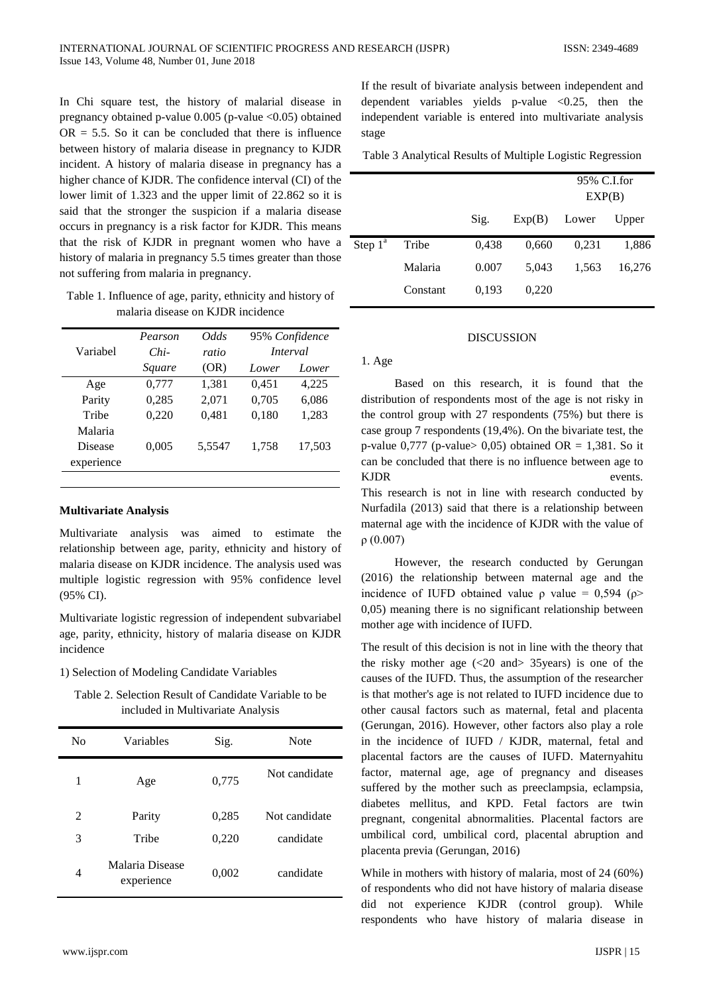In Chi square test, the history of malarial disease in pregnancy obtained p-value  $0.005$  (p-value  $\langle 0.05 \rangle$  obtained  $OR = 5.5$ . So it can be concluded that there is influence between history of malaria disease in pregnancy to KJDR incident. A history of malaria disease in pregnancy has a higher chance of KJDR. The confidence interval (CI) of the lower limit of 1.323 and the upper limit of 22.862 so it is said that the stronger the suspicion if a malaria disease occurs in pregnancy is a risk factor for KJDR. This means that the risk of KJDR in pregnant women who have a history of malaria in pregnancy 5.5 times greater than those not suffering from malaria in pregnancy.

Table 1. Influence of age, parity, ethnicity and history of malaria disease on KJDR incidence

|            | Pearson | <i>Odds</i> | 95% Confidence<br>Interval |        |
|------------|---------|-------------|----------------------------|--------|
| Variabel   | $Chi-$  | ratio       |                            |        |
|            | Square  | (OR)        | Lower                      | Lower  |
| Age        | 0,777   | 1,381       | 0.451                      | 4,225  |
| Parity     | 0,285   | 2,071       | 0,705                      | 6,086  |
| Tribe      | 0,220   | 0,481       | 0,180                      | 1,283  |
| Malaria    |         |             |                            |        |
| Disease    | 0,005   | 5,5547      | 1,758                      | 17,503 |
| experience |         |             |                            |        |
|            |         |             |                            |        |

# **Multivariate Analysis**

Multivariate analysis was aimed to estimate the relationship between age, parity, ethnicity and history of malaria disease on KJDR incidence. The analysis used was multiple logistic regression with 95% confidence level (95% CI).

Multivariate logistic regression of independent subvariabel age, parity, ethnicity, history of malaria disease on KJDR incidence

## 1) Selection of Modeling Candidate Variables

Table 2. Selection Result of Candidate Variable to be included in Multivariate Analysis

| No | Variables                     | Sig.  | Note          |
|----|-------------------------------|-------|---------------|
| 1  | Age                           | 0,775 | Not candidate |
| 2  | Parity                        | 0,285 | Not candidate |
| 3  | Tribe                         | 0,220 | candidate     |
| 4  | Malaria Disease<br>experience | 0,002 | candidate     |

If the result of bivariate analysis between independent and dependent variables yields p-value  $\langle 0.25,$  then the independent variable is entered into multivariate analysis stage

Table 3 Analytical Results of Multiple Logistic Regression

|            |          |       |        | 95% C.I.for<br>EXP(B) |        |
|------------|----------|-------|--------|-----------------------|--------|
|            |          | Sig.  | Exp(B) | Lower                 | Upper  |
| Step $1^a$ | Tribe    | 0,438 | 0,660  | 0,231                 | 1,886  |
|            | Malaria  | 0.007 | 5.043  | 1,563                 | 16,276 |
|            | Constant | 0,193 | 0,220  |                       |        |

## DISCUSSION

## 1. Age

Based on this research, it is found that the distribution of respondents most of the age is not risky in the control group with 27 respondents (75%) but there is case group 7 respondents (19,4%). On the bivariate test, the p-value  $0,777$  (p-value  $0,05$ ) obtained OR = 1,381. So it can be concluded that there is no influence between age to KJDR events.

This research is not in line with research conducted by Nurfadila (2013) said that there is a relationship between maternal age with the incidence of KJDR with the value of ρ (0.007)

However, the research conducted by Gerungan (2016) the relationship between maternal age and the incidence of IUFD obtained value  $\rho$  value = 0,594 ( $\rho$ > 0,05) meaning there is no significant relationship between mother age with incidence of IUFD.

The result of this decision is not in line with the theory that the risky mother age  $\langle 20 \text{ and } 35 \rangle$  and  $\langle 30 \text{ and } 35 \rangle$  is one of the causes of the IUFD. Thus, the assumption of the researcher is that mother's age is not related to IUFD incidence due to other causal factors such as maternal, fetal and placenta (Gerungan, 2016). However, other factors also play a role in the incidence of IUFD / KJDR, maternal, fetal and placental factors are the causes of IUFD. Maternyahitu factor, maternal age, age of pregnancy and diseases suffered by the mother such as preeclampsia, eclampsia, diabetes mellitus, and KPD. Fetal factors are twin pregnant, congenital abnormalities. Placental factors are umbilical cord, umbilical cord, placental abruption and placenta previa (Gerungan, 2016)

While in mothers with history of malaria, most of 24 (60%) of respondents who did not have history of malaria disease did not experience KJDR (control group). While respondents who have history of malaria disease in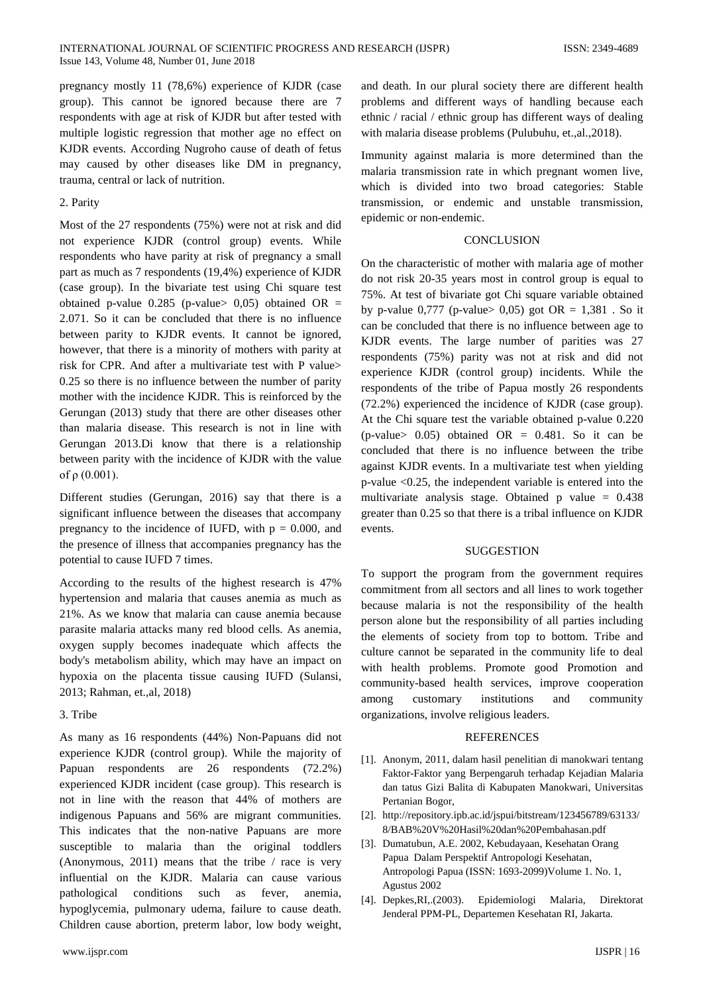pregnancy mostly 11 (78,6%) experience of KJDR (case group). This cannot be ignored because there are 7 respondents with age at risk of KJDR but after tested with multiple logistic regression that mother age no effect on KJDR events. According Nugroho cause of death of fetus may caused by other diseases like DM in pregnancy, trauma, central or lack of nutrition.

## 2. Parity

Most of the 27 respondents (75%) were not at risk and did not experience KJDR (control group) events. While respondents who have parity at risk of pregnancy a small part as much as 7 respondents (19,4%) experience of KJDR (case group). In the bivariate test using Chi square test obtained p-value  $0.285$  (p-value  $0.05$ ) obtained OR = 2.071. So it can be concluded that there is no influence between parity to KJDR events. It cannot be ignored, however, that there is a minority of mothers with parity at risk for CPR. And after a multivariate test with P value> 0.25 so there is no influence between the number of parity mother with the incidence KJDR. This is reinforced by the Gerungan (2013) study that there are other diseases other than malaria disease. This research is not in line with Gerungan 2013.Di know that there is a relationship between parity with the incidence of KJDR with the value of  $ρ$  (0.001).

Different studies (Gerungan, 2016) say that there is a significant influence between the diseases that accompany pregnancy to the incidence of IUFD, with  $p = 0.000$ , and the presence of illness that accompanies pregnancy has the potential to cause IUFD 7 times.

According to the results of the highest research is 47% hypertension and malaria that causes anemia as much as 21%. As we know that malaria can cause anemia because parasite malaria attacks many red blood cells. As anemia, oxygen supply becomes inadequate which affects the body's metabolism ability, which may have an impact on hypoxia on the placenta tissue causing IUFD (Sulansi, 2013; Rahman, et.,al, 2018)

#### 3. Tribe

As many as 16 respondents (44%) Non-Papuans did not experience KJDR (control group). While the majority of Papuan respondents are 26 respondents (72.2%) experienced KJDR incident (case group). This research is not in line with the reason that 44% of mothers are indigenous Papuans and 56% are migrant communities. This indicates that the non-native Papuans are more susceptible to malaria than the original toddlers (Anonymous, 2011) means that the tribe / race is very influential on the KJDR. Malaria can cause various pathological conditions such as fever, anemia, hypoglycemia, pulmonary udema, failure to cause death. Children cause abortion, preterm labor, low body weight,

and death. In our plural society there are different health problems and different ways of handling because each ethnic / racial / ethnic group has different ways of dealing with malaria disease problems (Pulubuhu, et.,al.,2018).

Immunity against malaria is more determined than the malaria transmission rate in which pregnant women live, which is divided into two broad categories: Stable transmission, or endemic and unstable transmission, epidemic or non-endemic.

## **CONCLUSION**

On the characteristic of mother with malaria age of mother do not risk 20-35 years most in control group is equal to 75%. At test of bivariate got Chi square variable obtained by p-value  $0,777$  (p-value  $0,05$ ) got OR = 1,381 . So it can be concluded that there is no influence between age to KJDR events. The large number of parities was 27 respondents (75%) parity was not at risk and did not experience KJDR (control group) incidents. While the respondents of the tribe of Papua mostly 26 respondents (72.2%) experienced the incidence of KJDR (case group). At the Chi square test the variable obtained p-value 0.220  $(p-value > 0.05)$  obtained OR = 0.481. So it can be concluded that there is no influence between the tribe against KJDR events. In a multivariate test when yielding p-value <0.25, the independent variable is entered into the multivariate analysis stage. Obtained p value = 0.438 greater than 0.25 so that there is a tribal influence on KJDR events.

#### **SUGGESTION**

To support the program from the government requires commitment from all sectors and all lines to work together because malaria is not the responsibility of the health person alone but the responsibility of all parties including the elements of society from top to bottom. Tribe and culture cannot be separated in the community life to deal with health problems. Promote good Promotion and community-based health services, improve cooperation among customary institutions and community organizations, involve religious leaders.

#### REFERENCES

- [1]. Anonym, 2011, dalam hasil penelitian di manokwari tentang Faktor-Faktor yang Berpengaruh terhadap Kejadian Malaria dan tatus Gizi Balita di Kabupaten Manokwari, Universitas Pertanian Bogor,
- [2]. http://repository.ipb.ac.id/jspui/bitstream/123456789/63133/ 8/BAB%20V%20Hasil%20dan%20Pembahasan.pdf
- [3]. Dumatubun, A.E. 2002, Kebudayaan, Kesehatan Orang Papua Dalam Perspektif Antropologi Kesehatan, Antropologi Papua (ISSN: 1693-2099)Volume 1. No. 1, Agustus 2002
- [4]. Depkes,RI,.(2003). Epidemiologi Malaria, Direktorat Jenderal PPM-PL, Departemen Kesehatan RI, Jakarta.